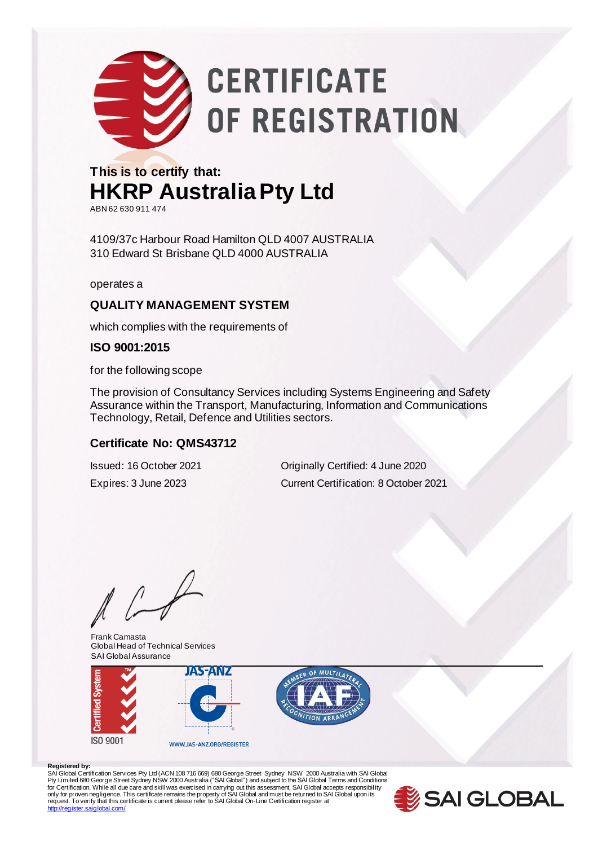

# **CERTIFICATE** OF REGISTRATION

### **This is to certify that: HKRP Australia Pty Ltd** ABN 62 630 911 474

4109/37c Harbour Road Hamilton QLD 4007 AUSTRALIA 310 Edward St Brisbane QLD 4000 AUSTRALIA

operates a

#### **QUALITY MANAGEMENT SYSTEM**

which complies with the requirements of

#### **ISO 9001:2015**

for the following scope

The provision of Consultancy Services including Systems Engineering and Safety Assurance within the Transport, Manufacturing, Information and Communications Technology, Retail, Defence and Utilities sectors.

#### **Certificate No: QMS43712**

Issued: 16 October 2021 Originally Certified: 4 June 2020 Expires: 3 June 2023 Current Certification: 8 October 2021

Frank Camasta Global Head of Technical Services SAI Global Assurance





Registered by:<br>SAI Global Certification Services Pty Ltd (ACN 108 716 669) 680 George Street Sydney NSW 2000 Australia with SAI Global<br>Pty Limited 680 George Street Sydney NSW 2000 Australia ("SAI Global") and subject to t <http://register.saiglobal.com/>

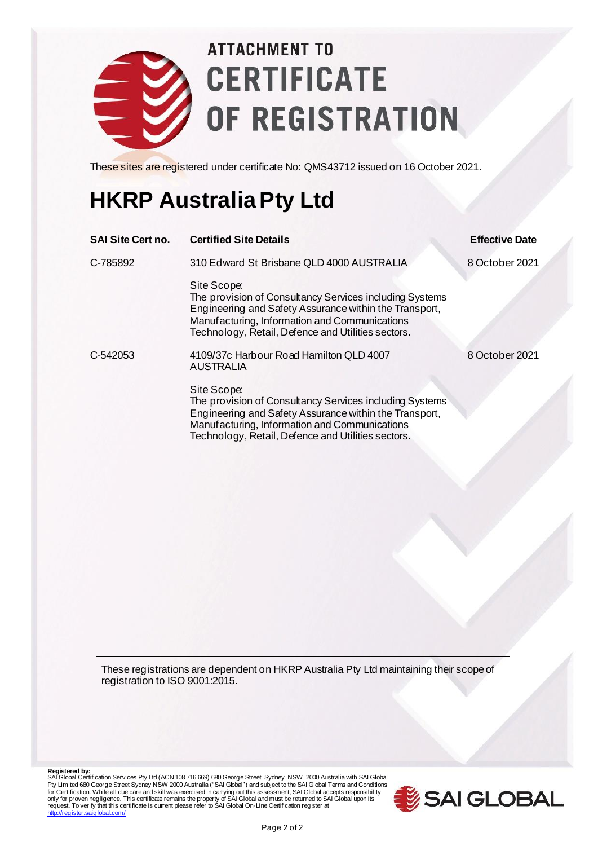

## **ATTACHMENT TO CERTIFICATE** OF REGISTRATION

These sites are registered under certificate No: QMS43712 issued on 16 October 2021.

### **HKRP Australia Pty Ltd**

| <b>SAI Site Cert no.</b> | <b>Certified Site Details</b>                                                                                                                                                                                                           | <b>Effective Date</b> |
|--------------------------|-----------------------------------------------------------------------------------------------------------------------------------------------------------------------------------------------------------------------------------------|-----------------------|
| C-785892                 | 310 Edward St Brisbane QLD 4000 AUSTRALIA                                                                                                                                                                                               | 8 October 2021        |
|                          | Site Scope:<br>The provision of Consultancy Services including Systems<br>Engineering and Safety Assurance within the Transport,<br>Manufacturing, Information and Communications<br>Technology, Retail, Defence and Utilities sectors. |                       |
| C-542053                 | 4109/37c Harbour Road Hamilton QLD 4007<br><b>AUSTRALIA</b>                                                                                                                                                                             | 8 October 2021        |
|                          | Site Scope:<br>The provision of Consultancy Services including Systems<br>Engineering and Safety Assurance within the Transport,<br>Manufacturing, Information and Communications<br>Technology, Retail, Defence and Utilities sectors. |                       |
|                          |                                                                                                                                                                                                                                         |                       |

These registrations are dependent on HKRP Australia Pty Ltd maintaining their scope of registration to ISO 9001:2015.

Registered by:<br>SAI Global Certification Services Pty Ltd (ACN 108 716 669) 680 George Street Sydney NSW 2000 Australia with SAI Global<br>Pty Limited 680 George Street Sydney NSW 2000 Australia ("SAI Global") and subject to t request. To verify that this certificate is current please refer to SAI Global On-Line Certification register at <http://register.saiglobal.com/>

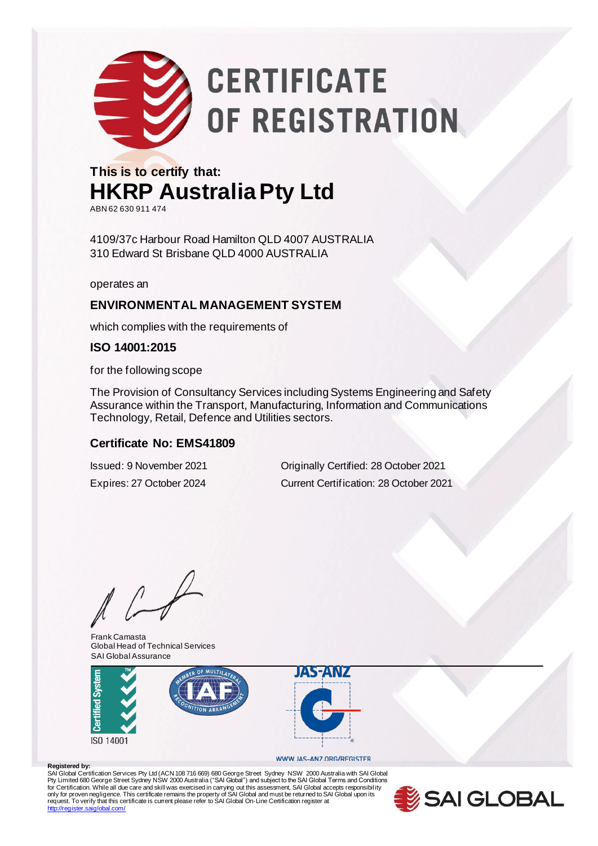

# **CERTIFICATE** OF REGISTRATION

#### **This is to certify that: HKRP Australia Pty Ltd** ABN 62 630 911 474

4109/37c Harbour Road Hamilton QLD 4007 AUSTRALIA 310 Edward St Brisbane QLD 4000 AUSTRALIA

operates an

#### **ENVIRONMENTAL MANAGEMENT SYSTEM**

which complies with the requirements of

#### **ISO 14001:2015**

for the following scope

The Provision of Consultancy Services including Systems Engineering and Safety Assurance within the Transport, Manufacturing, Information and Communications Technology, Retail, Defence and Utilities sectors.

#### **Certificate No: EMS41809**

Issued: 9 November 2021 Originally Certified: 28 October 2021 Expires: 27 October 2024 Current Certification: 28 October 2021

Frank Camasta Global Head of Technical Services SAI Global Assurance



#### WWW.JAS-ANZ.ORG/REGISTER

**Registered by:** SAI Global Certification Services Pty Ltd (ACN 108 716 669) 680 George Street Sydney NSW 2000 Australia with SAI Global<br>Pty Limited 680 George Street Sydney NSW 2000 Australia ("SAI Global") and subject to the SAI Global T <http://register.saiglobal.com/>

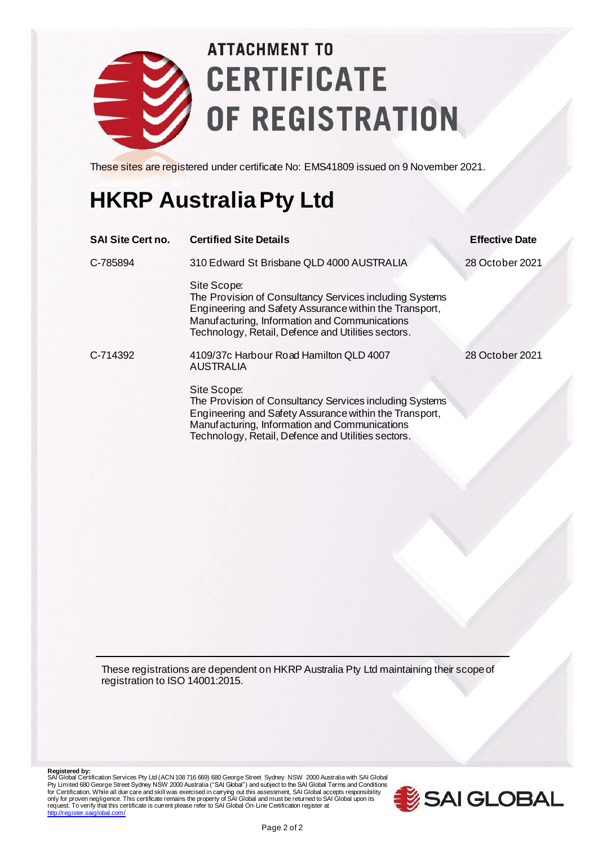

## **ATTACHMENT TO CERTIFICATE** OF REGISTRATION

These sites are registered under certificate No: EMS41809 issued on 9 November 2021.

### **HKRP Australia Pty Ltd**

| <b>SAI Site Cert no.</b> | <b>Certified Site Details</b>                                                                                                                                                                                                           | <b>Effective Date</b> |
|--------------------------|-----------------------------------------------------------------------------------------------------------------------------------------------------------------------------------------------------------------------------------------|-----------------------|
| C-785894                 | 310 Edward St Brisbane QLD 4000 AUSTRALIA                                                                                                                                                                                               | 28 October 2021       |
|                          | Site Scope:<br>The Provision of Consultancy Services including Systems<br>Engineering and Safety Assurance within the Transport,<br>Manufacturing, Information and Communications<br>Technology, Retail, Defence and Utilities sectors. |                       |
| C-714392                 | 4109/37c Harbour Road Hamilton QLD 4007<br><b>AUSTRALIA</b>                                                                                                                                                                             | 28 October 2021       |
|                          | Site Scope:<br>The Provision of Consultancy Services including Systems<br>Engineering and Safety Assurance within the Transport,<br>Manufacturing, Information and Communications<br>Technology, Retail, Defence and Utilities sectors. |                       |

These registrations are dependent on HKRP Australia Pty Ltd maintaining their scope of registration to ISO 14001:2015.

Registered by:<br>SAI Global Certification Services Pty Ltd (ACN 108 716 669) 680 George Street Sydney NSW 2000 Australia with SAI Global<br>Pty Limited 680 George Street Sydney NSW 2000 Australia ("SAI Global") and subject to t request. To verify that this certificate is current please refer to SAI Global On-Line Certification register at <http://register.saiglobal.com/>

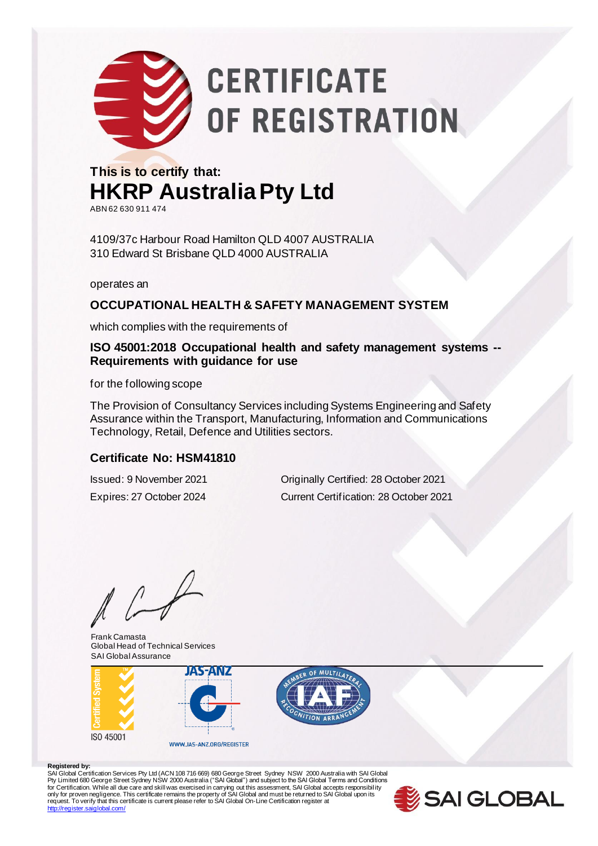

### **This is to certify that: HKRP Australia Pty Ltd** ABN 62 630 911 474

4109/37c Harbour Road Hamilton QLD 4007 AUSTRALIA 310 Edward St Brisbane QLD 4000 AUSTRALIA

operates an

#### **OCCUPATIONAL HEALTH & SAFETY MANAGEMENT SYSTEM**

which complies with the requirements of

#### **ISO 45001:2018 Occupational health and safety management systems -- Requirements with guidance for use**

for the following scope

The Provision of Consultancy Services including Systems Engineering and Safety Assurance within the Transport, Manufacturing, Information and Communications Technology, Retail, Defence and Utilities sectors.

#### **Certificate No: HSM41810**

Issued: 9 November 2021 Originally Certified: 28 October 2021 Expires: 27 October 2024 Current Certification: 28 October 2021

Frank Camasta Global Head of Technical Services SAI Global Assurance





Registered by:<br>SAI Global Certification Services Pty Ltd (ACN 108 716 669) 680 George Street Sydney NSW 2000 Australia with SAI Global<br>Pty Limited 680 George Street Sydney NSW 2000 Australia ("SAI Global") and subject to t <http://register.saiglobal.com/>